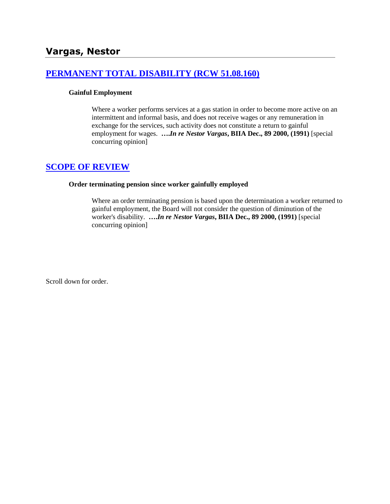# **[PERMANENT TOTAL DISABILITY \(RCW 51.08.160\)](http://www.biia.wa.gov/SDSubjectIndex.html#PERMANENT_TOTAL_DISABILITY)**

#### **Gainful Employment**

Where a worker performs services at a gas station in order to become more active on an intermittent and informal basis, and does not receive wages or any remuneration in exchange for the services, such activity does not constitute a return to gainful employment for wages. **….***In re Nestor Vargas***, BIIA Dec., 89 2000, (1991)** [special concurring opinion]

# **[SCOPE OF REVIEW](http://www.biia.wa.gov/SDSubjectIndex.html#SCOPE_OF_REVIEW)**

#### **Order terminating pension since worker gainfully employed**

Where an order terminating pension is based upon the determination a worker returned to gainful employment, the Board will not consider the question of diminution of the worker's disability. **….***In re Nestor Vargas***, BIIA Dec., 89 2000, (1991)** [special concurring opinion]

Scroll down for order.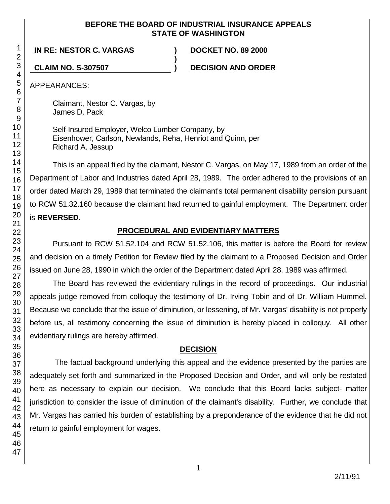## **BEFORE THE BOARD OF INDUSTRIAL INSURANCE APPEALS STATE OF WASHINGTON**

**)**

**IN RE: NESTOR C. VARGAS ) DOCKET NO. 89 2000**

**CLAIM NO. S-307507 ) DECISION AND ORDER**

APPEARANCES:

Claimant, Nestor C. Vargas, by James D. Pack

Self-Insured Employer, Welco Lumber Company, by Eisenhower, Carlson, Newlands, Reha, Henriot and Quinn, per Richard A. Jessup

This is an appeal filed by the claimant, Nestor C. Vargas, on May 17, 1989 from an order of the Department of Labor and Industries dated April 28, 1989. The order adhered to the provisions of an order dated March 29, 1989 that terminated the claimant's total permanent disability pension pursuant to RCW 51.32.160 because the claimant had returned to gainful employment. The Department order is **REVERSED**.

# **PROCEDURAL AND EVIDENTIARY MATTERS**

Pursuant to RCW 51.52.104 and RCW 51.52.106, this matter is before the Board for review and decision on a timely Petition for Review filed by the claimant to a Proposed Decision and Order issued on June 28, 1990 in which the order of the Department dated April 28, 1989 was affirmed.

The Board has reviewed the evidentiary rulings in the record of proceedings. Our industrial appeals judge removed from colloquy the testimony of Dr. Irving Tobin and of Dr. William Hummel. Because we conclude that the issue of diminution, or lessening, of Mr. Vargas' disability is not properly before us, all testimony concerning the issue of diminution is hereby placed in colloquy. All other evidentiary rulings are hereby affirmed.

# **DECISION**

The factual background underlying this appeal and the evidence presented by the parties are adequately set forth and summarized in the Proposed Decision and Order, and will only be restated here as necessary to explain our decision. We conclude that this Board lacks subject- matter jurisdiction to consider the issue of diminution of the claimant's disability. Further, we conclude that Mr. Vargas has carried his burden of establishing by a preponderance of the evidence that he did not return to gainful employment for wages.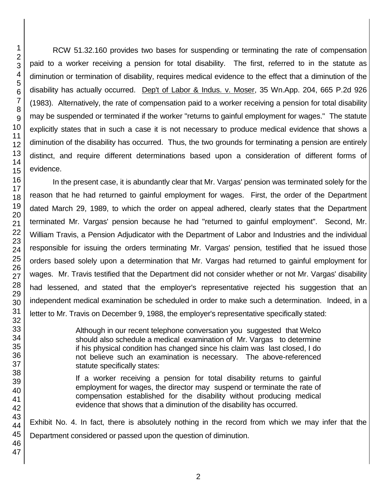RCW 51.32.160 provides two bases for suspending or terminating the rate of compensation paid to a worker receiving a pension for total disability. The first, referred to in the statute as diminution or termination of disability, requires medical evidence to the effect that a diminution of the disability has actually occurred. Dep't of Labor & Indus. v. Moser, 35 Wn.App. 204, 665 P.2d 926 (1983). Alternatively, the rate of compensation paid to a worker receiving a pension for total disability may be suspended or terminated if the worker "returns to gainful employment for wages." The statute explicitly states that in such a case it is not necessary to produce medical evidence that shows a diminution of the disability has occurred. Thus, the two grounds for terminating a pension are entirely distinct, and require different determinations based upon a consideration of different forms of evidence.

In the present case, it is abundantly clear that Mr. Vargas' pension was terminated solely for the reason that he had returned to gainful employment for wages. First, the order of the Department dated March 29, 1989, to which the order on appeal adhered, clearly states that the Department terminated Mr. Vargas' pension because he had "returned to gainful employment". Second, Mr. William Travis, a Pension Adjudicator with the Department of Labor and Industries and the individual responsible for issuing the orders terminating Mr. Vargas' pension, testified that he issued those orders based solely upon a determination that Mr. Vargas had returned to gainful employment for wages. Mr. Travis testified that the Department did not consider whether or not Mr. Vargas' disability had lessened, and stated that the employer's representative rejected his suggestion that an independent medical examination be scheduled in order to make such a determination. Indeed, in a letter to Mr. Travis on December 9, 1988, the employer's representative specifically stated:

> Although in our recent telephone conversation you suggested that Welco should also schedule a medical examination of Mr. Vargas to determine if his physical condition has changed since his claim was last closed, I do not believe such an examination is necessary. The above-referenced statute specifically states:

> If a worker receiving a pension for total disability returns to gainful employment for wages, the director may suspend or terminate the rate of compensation established for the disability without producing medical evidence that shows that a diminution of the disability has occurred.

Exhibit No. 4. In fact, there is absolutely nothing in the record from which we may infer that the Department considered or passed upon the question of diminution.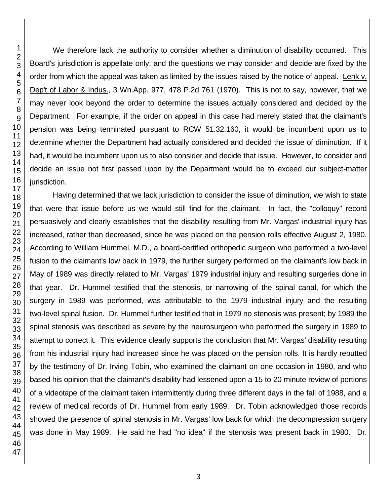We therefore lack the authority to consider whether a diminution of disability occurred. This Board's jurisdiction is appellate only, and the questions we may consider and decide are fixed by the order from which the appeal was taken as limited by the issues raised by the notice of appeal. Lenk v. Dep't of Labor & Indus., 3 Wn.App. 977, 478 P.2d 761 (1970). This is not to say, however, that we may never look beyond the order to determine the issues actually considered and decided by the Department. For example, if the order on appeal in this case had merely stated that the claimant's pension was being terminated pursuant to RCW 51.32.160, it would be incumbent upon us to determine whether the Department had actually considered and decided the issue of diminution. If it had, it would be incumbent upon us to also consider and decide that issue. However, to consider and decide an issue not first passed upon by the Department would be to exceed our subject-matter jurisdiction.

Having determined that we lack jurisdiction to consider the issue of diminution, we wish to state that were that issue before us we would still find for the claimant. In fact, the "colloquy" record persuasively and clearly establishes that the disability resulting from Mr. Vargas' industrial injury has increased, rather than decreased, since he was placed on the pension rolls effective August 2, 1980. According to William Hummel, M.D., a board-certified orthopedic surgeon who performed a two-level fusion to the claimant's low back in 1979, the further surgery performed on the claimant's low back in May of 1989 was directly related to Mr. Vargas' 1979 industrial injury and resulting surgeries done in that year. Dr. Hummel testified that the stenosis, or narrowing of the spinal canal, for which the surgery in 1989 was performed, was attributable to the 1979 industrial injury and the resulting two-level spinal fusion. Dr. Hummel further testified that in 1979 no stenosis was present; by 1989 the spinal stenosis was described as severe by the neurosurgeon who performed the surgery in 1989 to attempt to correct it. This evidence clearly supports the conclusion that Mr. Vargas' disability resulting from his industrial injury had increased since he was placed on the pension rolls. It is hardly rebutted by the testimony of Dr. Irving Tobin, who examined the claimant on one occasion in 1980, and who based his opinion that the claimant's disability had lessened upon a 15 to 20 minute review of portions of a videotape of the claimant taken intermittently during three different days in the fall of 1988, and a review of medical records of Dr. Hummel from early 1989. Dr. Tobin acknowledged those records showed the presence of spinal stenosis in Mr. Vargas' low back for which the decompression surgery was done in May 1989. He said he had "no idea" if the stenosis was present back in 1980. Dr.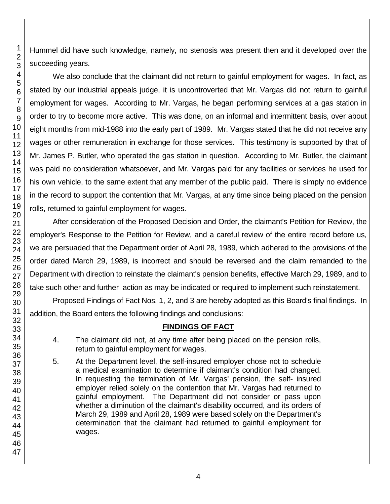Hummel did have such knowledge, namely, no stenosis was present then and it developed over the succeeding years.

We also conclude that the claimant did not return to gainful employment for wages. In fact, as stated by our industrial appeals judge, it is uncontroverted that Mr. Vargas did not return to gainful employment for wages. According to Mr. Vargas, he began performing services at a gas station in order to try to become more active. This was done, on an informal and intermittent basis, over about eight months from mid-1988 into the early part of 1989. Mr. Vargas stated that he did not receive any wages or other remuneration in exchange for those services. This testimony is supported by that of Mr. James P. Butler, who operated the gas station in question. According to Mr. Butler, the claimant was paid no consideration whatsoever, and Mr. Vargas paid for any facilities or services he used for his own vehicle, to the same extent that any member of the public paid. There is simply no evidence in the record to support the contention that Mr. Vargas, at any time since being placed on the pension rolls, returned to gainful employment for wages.

After consideration of the Proposed Decision and Order, the claimant's Petition for Review, the employer's Response to the Petition for Review, and a careful review of the entire record before us, we are persuaded that the Department order of April 28, 1989, which adhered to the provisions of the order dated March 29, 1989, is incorrect and should be reversed and the claim remanded to the Department with direction to reinstate the claimant's pension benefits, effective March 29, 1989, and to take such other and further action as may be indicated or required to implement such reinstatement.

Proposed Findings of Fact Nos. 1, 2, and 3 are hereby adopted as this Board's final findings. In addition, the Board enters the following findings and conclusions:

# **FINDINGS OF FACT**

- 4. The claimant did not, at any time after being placed on the pension rolls, return to gainful employment for wages.
- 5. At the Department level, the self-insured employer chose not to schedule a medical examination to determine if claimant's condition had changed. In requesting the termination of Mr. Vargas' pension, the self- insured employer relied solely on the contention that Mr. Vargas had returned to gainful employment. The Department did not consider or pass upon whether a diminution of the claimant's disability occurred, and its orders of March 29, 1989 and April 28, 1989 were based solely on the Department's determination that the claimant had returned to gainful employment for wages.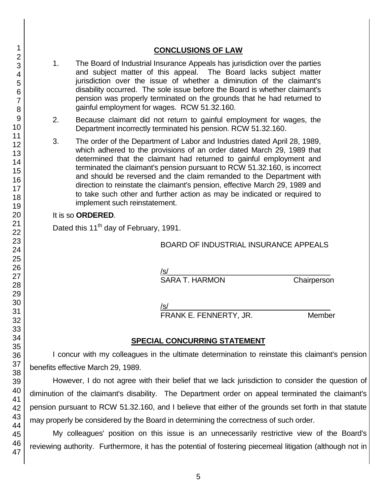## **CONCLUSIONS OF LAW**

- 1. The Board of Industrial Insurance Appeals has jurisdiction over the parties and subject matter of this appeal. The Board lacks subject matter jurisdiction over the issue of whether a diminution of the claimant's disability occurred. The sole issue before the Board is whether claimant's pension was properly terminated on the grounds that he had returned to gainful employment for wages. RCW 51.32.160.
- 2. Because claimant did not return to gainful employment for wages, the Department incorrectly terminated his pension. RCW 51.32.160.
- 3. The order of the Department of Labor and Industries dated April 28, 1989, which adhered to the provisions of an order dated March 29, 1989 that determined that the claimant had returned to gainful employment and terminated the claimant's pension pursuant to RCW 51.32.160, is incorrect and should be reversed and the claim remanded to the Department with direction to reinstate the claimant's pension, effective March 29, 1989 and to take such other and further action as may be indicated or required to implement such reinstatement.

### It is so **ORDERED**.

Dated this 11<sup>th</sup> day of February, 1991.

## BOARD OF INDUSTRIAL INSURANCE APPEALS

/s/  $\,$ SARA T. HARMON Chairperson

/s/  $\,$ 

FRANK E. FENNERTY, JR. Member

# **SPECIAL CONCURRING STATEMENT**

I concur with my colleagues in the ultimate determination to reinstate this claimant's pension benefits effective March 29, 1989.

However, I do not agree with their belief that we lack jurisdiction to consider the question of diminution of the claimant's disability. The Department order on appeal terminated the claimant's pension pursuant to RCW 51.32.160, and I believe that either of the grounds set forth in that statute may properly be considered by the Board in determining the correctness of such order.

My colleagues' position on this issue is an unnecessarily restrictive view of the Board's reviewing authority. Furthermore, it has the potential of fostering piecemeal litigation (although not in